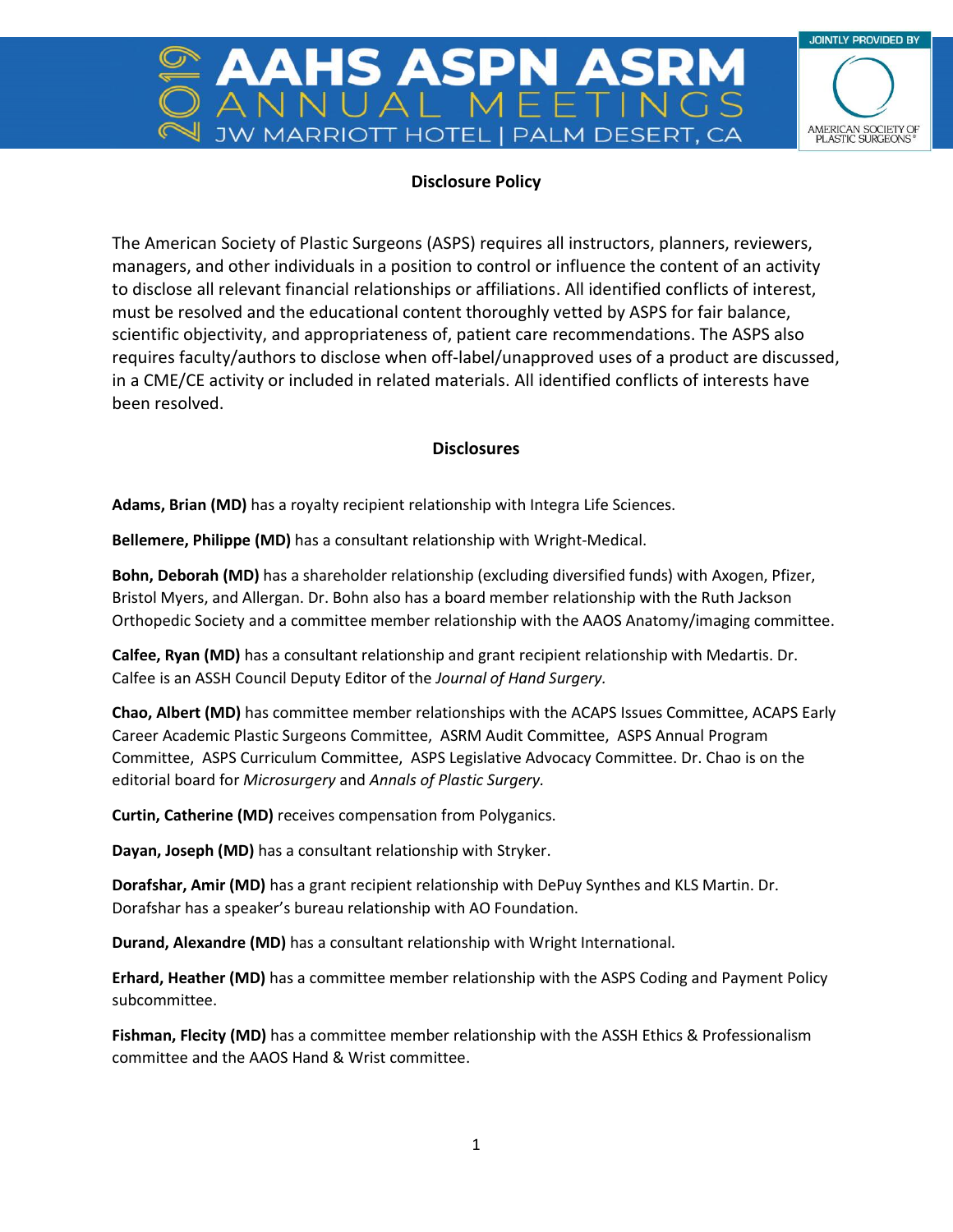

## **Disclosure Policy**

ASP

The American Society of Plastic Surgeons (ASPS) requires all instructors, planners, reviewers, managers, and other individuals in a position to control or influence the content of an activity to disclose all relevant financial relationships or affiliations. All identified conflicts of interest, must be resolved and the educational content thoroughly vetted by ASPS for fair balance, scientific objectivity, and appropriateness of, patient care recommendations. The ASPS also requires faculty/authors to disclose when off-label/unapproved uses of a product are discussed, in a CME/CE activity or included in related materials. All identified conflicts of interests have been resolved.

## **Disclosures**

**Adams, Brian (MD)** has a royalty recipient relationship with Integra Life Sciences.

**Bellemere, Philippe (MD)** has a consultant relationship with Wright-Medical.

**Bohn, Deborah (MD)** has a shareholder relationship (excluding diversified funds) with Axogen, Pfizer, Bristol Myers, and Allergan. Dr. Bohn also has a board member relationship with the Ruth Jackson Orthopedic Society and a committee member relationship with the AAOS Anatomy/imaging committee.

**Calfee, Ryan (MD)** has a consultant relationship and grant recipient relationship with Medartis. Dr. Calfee is an ASSH Council Deputy Editor of the *Journal of Hand Surgery.*

**Chao, Albert (MD)** has committee member relationships with the ACAPS Issues Committee, ACAPS Early Career Academic Plastic Surgeons Committee, ASRM Audit Committee, ASPS Annual Program Committee, ASPS Curriculum Committee, ASPS Legislative Advocacy Committee. Dr. Chao is on the editorial board for *Microsurgery* and *Annals of Plastic Surgery.*

**Curtin, Catherine (MD)** receives compensation from Polyganics.

**Dayan, Joseph (MD)** has a consultant relationship with Stryker.

**Dorafshar, Amir (MD)** has a grant recipient relationship with DePuy Synthes and KLS Martin. Dr. Dorafshar has a speaker's bureau relationship with AO Foundation.

**Durand, Alexandre (MD)** has a consultant relationship with Wright International.

**Erhard, Heather (MD)** has a committee member relationship with the ASPS Coding and Payment Policy subcommittee.

**Fishman, Flecity (MD)** has a committee member relationship with the ASSH Ethics & Professionalism committee and the AAOS Hand & Wrist committee.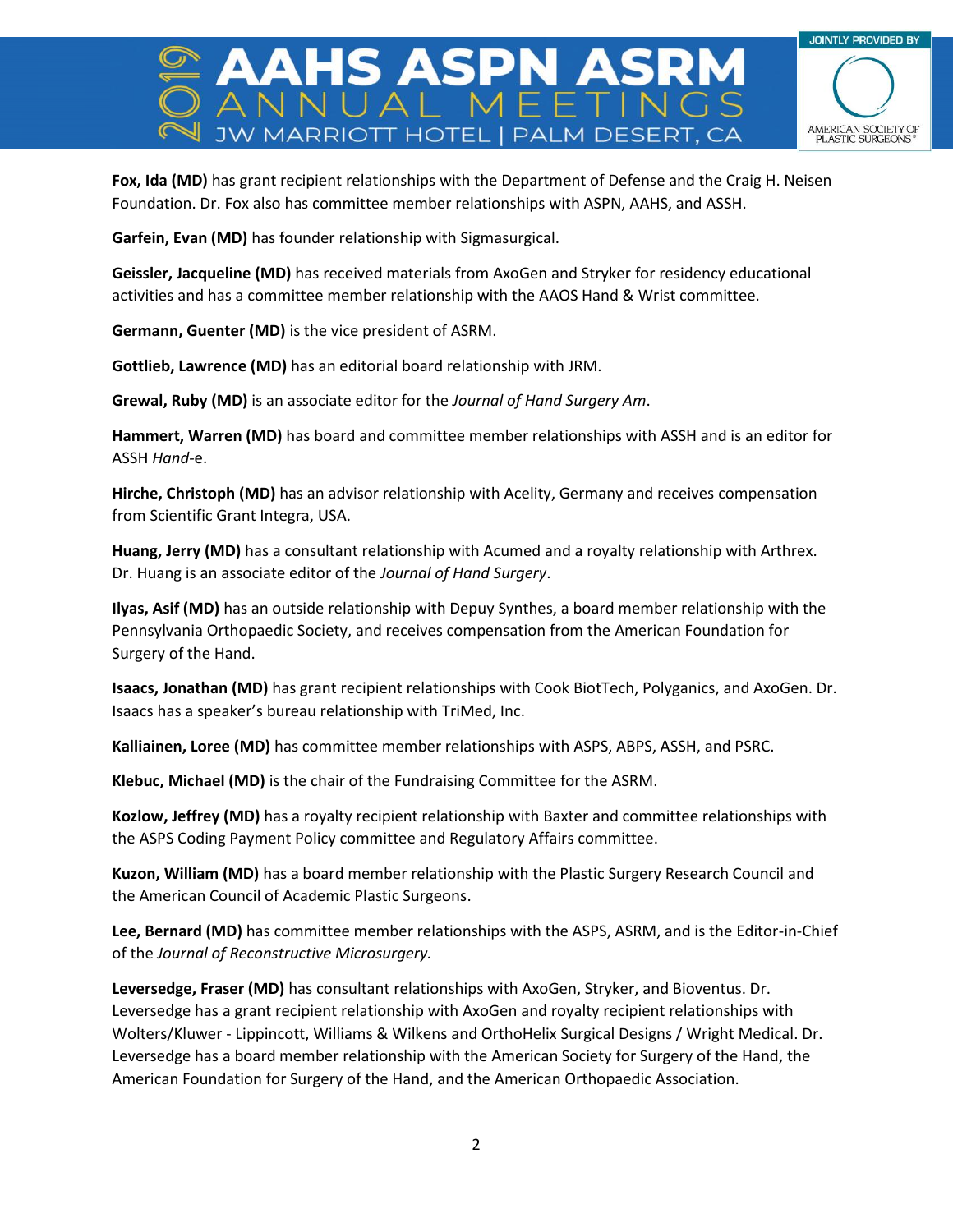

**Fox, Ida (MD)** has grant recipient relationships with the Department of Defense and the Craig H. Neisen Foundation. Dr. Fox also has committee member relationships with ASPN, AAHS, and ASSH.

S ASPN

**Garfein, Evan (MD)** has founder relationship with Sigmasurgical.

**Geissler, Jacqueline (MD)** has received materials from AxoGen and Stryker for residency educational activities and has a committee member relationship with the AAOS Hand & Wrist committee.

**Germann, Guenter (MD)** is the vice president of ASRM.

**Gottlieb, Lawrence (MD)** has an editorial board relationship with JRM.

**Grewal, Ruby (MD)** is an associate editor for the *Journal of Hand Surgery Am*.

**Hammert, Warren (MD)** has board and committee member relationships with ASSH and is an editor for ASSH *Hand-*e.

**Hirche, Christoph (MD)** has an advisor relationship with Acelity, Germany and receives compensation from Scientific Grant Integra, USA.

**Huang, Jerry (MD)** has a consultant relationship with Acumed and a royalty relationship with Arthrex. Dr. Huang is an associate editor of the *Journal of Hand Surgery*.

**Ilyas, Asif (MD)** has an outside relationship with Depuy Synthes, a board member relationship with the Pennsylvania Orthopaedic Society, and receives compensation from the American Foundation for Surgery of the Hand.

**Isaacs, Jonathan (MD)** has grant recipient relationships with Cook BiotTech, Polyganics, and AxoGen. Dr. Isaacs has a speaker's bureau relationship with TriMed, Inc.

**Kalliainen, Loree (MD)** has committee member relationships with ASPS, ABPS, ASSH, and PSRC.

**Klebuc, Michael (MD)** is the chair of the Fundraising Committee for the ASRM.

**Kozlow, Jeffrey (MD)** has a royalty recipient relationship with Baxter and committee relationships with the ASPS Coding Payment Policy committee and Regulatory Affairs committee.

**Kuzon, William (MD)** has a board member relationship with the Plastic Surgery Research Council and the American Council of Academic Plastic Surgeons.

**Lee, Bernard (MD)** has committee member relationships with the ASPS, ASRM, and is the Editor-in-Chief of the *Journal of Reconstructive Microsurgery.*

**Leversedge, Fraser (MD)** has consultant relationships with AxoGen, Stryker, and Bioventus. Dr. Leversedge has a grant recipient relationship with AxoGen and royalty recipient relationships with Wolters/Kluwer - Lippincott, Williams & Wilkens and OrthoHelix Surgical Designs / Wright Medical. Dr. Leversedge has a board member relationship with the American Society for Surgery of the Hand, the American Foundation for Surgery of the Hand, and the American Orthopaedic Association.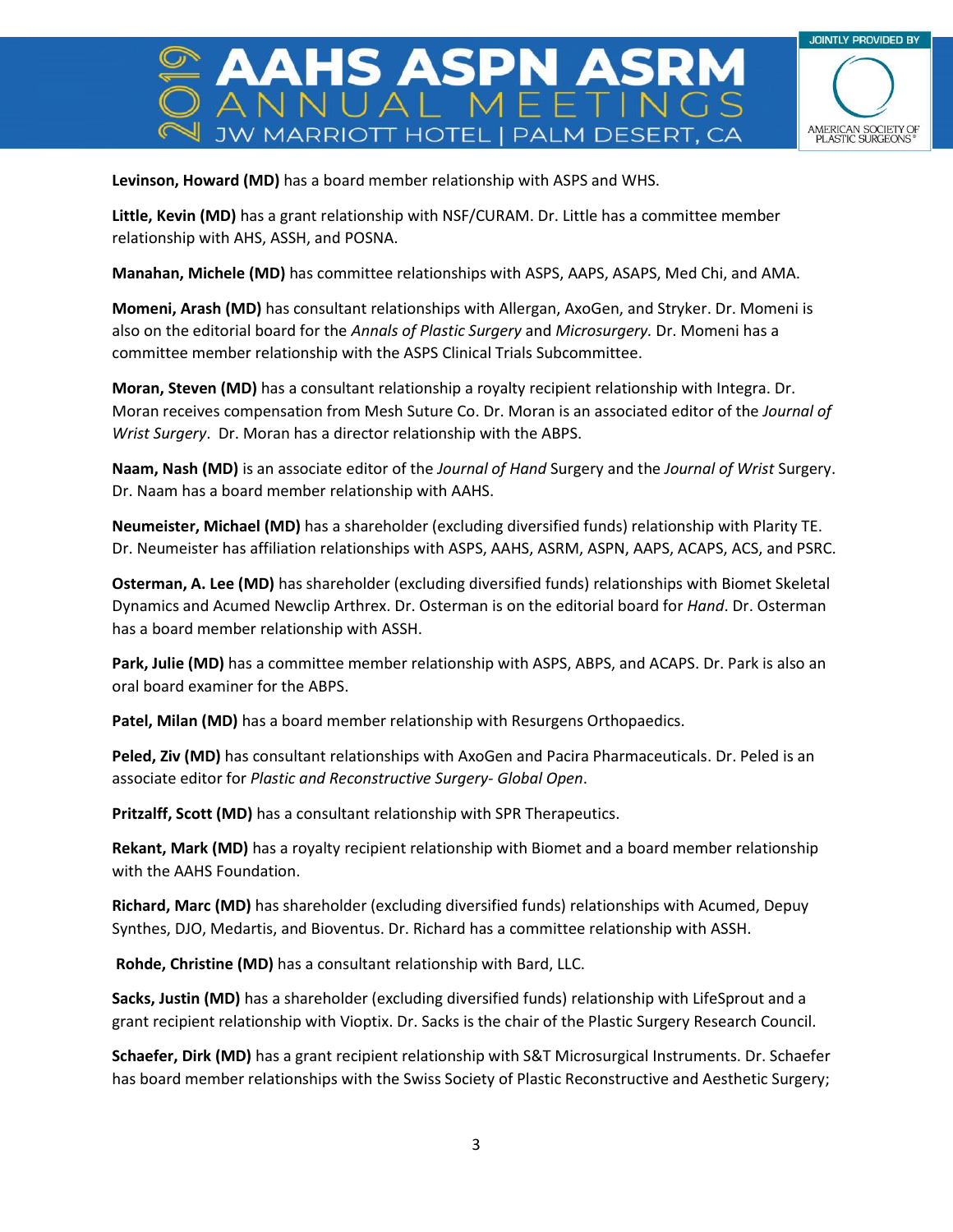

S ASPN

**Levinson, Howard (MD)** has a board member relationship with ASPS and WHS.

**Little, Kevin (MD)** has a grant relationship with NSF/CURAM. Dr. Little has a committee member relationship with AHS, ASSH, and POSNA.

**Manahan, Michele (MD)** has committee relationships with ASPS, AAPS, ASAPS, Med Chi, and AMA.

**Momeni, Arash (MD)** has consultant relationships with Allergan, AxoGen, and Stryker. Dr. Momeni is also on the editorial board for the *Annals of Plastic Surgery* and *Microsurgery.* Dr. Momeni has a committee member relationship with the ASPS Clinical Trials Subcommittee.

**Moran, Steven (MD)** has a consultant relationship a royalty recipient relationship with Integra. Dr. Moran receives compensation from Mesh Suture Co. Dr. Moran is an associated editor of the *Journal of Wrist Surgery*. Dr. Moran has a director relationship with the ABPS.

**Naam, Nash (MD)** is an associate editor of the *Journal of Hand* Surgery and the *Journal of Wrist* Surgery. Dr. Naam has a board member relationship with AAHS.

**Neumeister, Michael (MD)** has a shareholder (excluding diversified funds) relationship with Plarity TE. Dr. Neumeister has affiliation relationships with ASPS, AAHS, ASRM, ASPN, AAPS, ACAPS, ACS, and PSRC.

**Osterman, A. Lee (MD)** has shareholder (excluding diversified funds) relationships with Biomet Skeletal Dynamics and Acumed Newclip Arthrex. Dr. Osterman is on the editorial board for *Hand*. Dr. Osterman has a board member relationship with ASSH.

**Park, Julie (MD)** has a committee member relationship with ASPS, ABPS, and ACAPS. Dr. Park is also an oral board examiner for the ABPS.

**Patel, Milan (MD)** has a board member relationship with Resurgens Orthopaedics.

**Peled, Ziv (MD)** has consultant relationships with AxoGen and Pacira Pharmaceuticals. Dr. Peled is an associate editor for *Plastic and Reconstructive Surgery- Global Open*.

**Pritzalff, Scott (MD)** has a consultant relationship with SPR Therapeutics.

**Rekant, Mark (MD)** has a royalty recipient relationship with Biomet and a board member relationship with the AAHS Foundation.

**Richard, Marc (MD)** has shareholder (excluding diversified funds) relationships with Acumed, Depuy Synthes, DJO, Medartis, and Bioventus. Dr. Richard has a committee relationship with ASSH.

**Rohde, Christine (MD)** has a consultant relationship with Bard, LLC.

**Sacks, Justin (MD)** has a shareholder (excluding diversified funds) relationship with LifeSprout and a grant recipient relationship with Vioptix. Dr. Sacks is the chair of the Plastic Surgery Research Council.

**Schaefer, Dirk (MD)** has a grant recipient relationship with S&T Microsurgical Instruments. Dr. Schaefer has board member relationships with the Swiss Society of Plastic Reconstructive and Aesthetic Surgery;